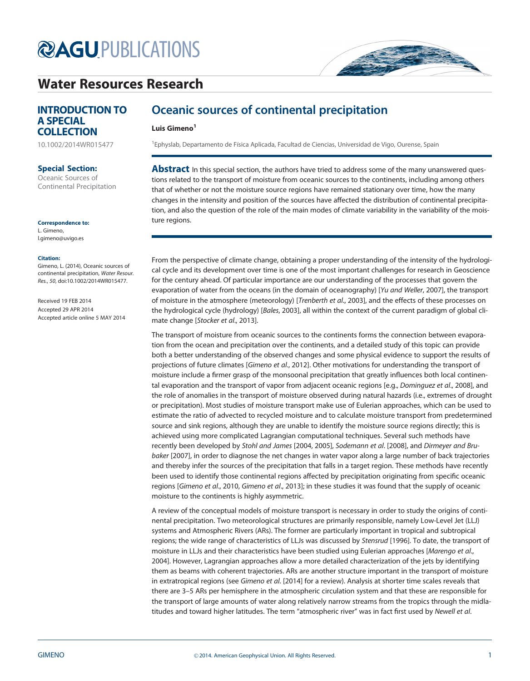# **@AGU[PUBLICATIONS](http://publications.agu.org/)**

# [Water Resources Research](http://onlinelibrary.wiley.com/journal/10.1002/(ISSN)1944-7973/)



[10.1002/2014WR015477](http://dx.doi.org/10.1002/2014WR015477)

### Special Section:

[Oceanic Sources of](http://onlinelibrary.wiley.com/journal/10.1002/(ISSN)1944-7973/specialsection/OSOCP1/) [Continental Precipitation](http://onlinelibrary.wiley.com/journal/10.1002/(ISSN)1944-7973/specialsection/OSOCP1/)

Correspondence to:

L. Gimeno, l.gimeno@uvigo.es

#### Citation:

Gimeno, L. (2014), Oceanic sources of continental precipitation, Water Resour. Res., 50, doi:10.1002/2014WR015477.

Received 19 FEB 2014 Accepted 29 APR 2014 Accepted article online 5 MAY 2014

## Oceanic sources of continental precipitation

### Luis Gimeno<sup>1</sup>

<sup>1</sup> Ephyslab, Departamento de Física Aplicada, Facultad de Ciencias, Universidad de Vigo, Ourense, Spain

**Abstract** In this special section, the authors have tried to address some of the many unanswered questions related to the transport of moisture from oceanic sources to the continents, including among others that of whether or not the moisture source regions have remained stationary over time, how the many changes in the intensity and position of the sources have affected the distribution of continental precipitation, and also the question of the role of the main modes of climate variability in the variability of the moisture regions.

From the perspective of climate change, obtaining a proper understanding of the intensity of the hydrological cycle and its development over time is one of the most important challenges for research in Geoscience for the century ahead. Of particular importance are our understanding of the processes that govern the evaporation of water from the oceans (in the domain of oceanography) [Yu and Weller, 2007], the transport of moisture in the atmosphere (meteorology) [Trenberth et al., 2003], and the effects of these processes on the hydrological cycle (hydrology) [Bales, 2003], all within the context of the current paradigm of global climate change [Stocker et al., 2013].

The transport of moisture from oceanic sources to the continents forms the connection between evaporation from the ocean and precipitation over the continents, and a detailed study of this topic can provide both a better understanding of the observed changes and some physical evidence to support the results of projections of future climates [Gimeno et al., 2012]. Other motivations for understanding the transport of moisture include a firmer grasp of the monsoonal precipitation that greatly influences both local continental evaporation and the transport of vapor from adjacent oceanic regions [e.g., Dominguez et al., 2008], and the role of anomalies in the transport of moisture observed during natural hazards (i.e., extremes of drought or precipitation). Most studies of moisture transport make use of Eulerian approaches, which can be used to estimate the ratio of advected to recycled moisture and to calculate moisture transport from predetermined source and sink regions, although they are unable to identify the moisture source regions directly; this is achieved using more complicated Lagrangian computational techniques. Several such methods have recently been developed by Stohl and James [2004, 2005], Sodemann et al. [2008], and Dirmeyer and Brubaker [2007], in order to diagnose the net changes in water vapor along a large number of back trajectories and thereby infer the sources of the precipitation that falls in a target region. These methods have recently been used to identify those continental regions affected by precipitation originating from specific oceanic regions [Gimeno et al., 2010, Gimeno et al., 2013]; in these studies it was found that the supply of oceanic moisture to the continents is highly asymmetric.

A review of the conceptual models of moisture transport is necessary in order to study the origins of continental precipitation. Two meteorological structures are primarily responsible, namely Low-Level Jet (LLJ) systems and Atmospheric Rivers (ARs). The former are particularly important in tropical and subtropical regions; the wide range of characteristics of LLJs was discussed by Stensrud [1996]. To date, the transport of moisture in LLJs and their characteristics have been studied using Eulerian approaches [Marengo et al., 2004]. However, Lagrangian approaches allow a more detailed characterization of the jets by identifying them as beams with coherent trajectories. ARs are another structure important in the transport of moisture in extratropical regions (see Gimeno et al. [2014] for a review). Analysis at shorter time scales reveals that there are 3–5 ARs per hemisphere in the atmospheric circulation system and that these are responsible for the transport of large amounts of water along relatively narrow streams from the tropics through the midlatitudes and toward higher latitudes. The term "atmospheric river" was in fact first used by Newell et al.

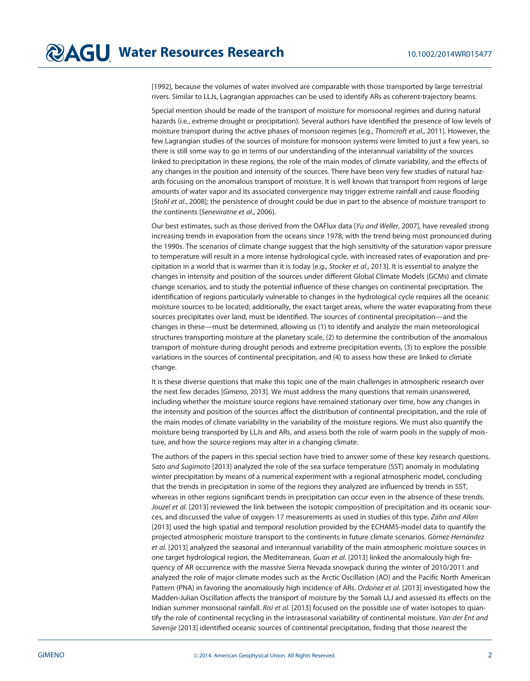[1992], because the volumes of water involved are comparable with those transported by large terrestrial rivers. Similar to LLJs, Lagrangian approaches can be used to identify ARs as coherent-trajectory beams.

Special mention should be made of the transport of moisture for monsoonal regimes and during natural hazards (i.e., extreme drought or precipitation). Several authors have identified the presence of low levels of moisture transport during the active phases of monsoon regimes [e.g., Thorncroft et al., 2011]. However, the few Lagrangian studies of the sources of moisture for monsoon systems were limited to just a few years, so there is still some way to go in terms of our understanding of the interannual variability of the sources linked to precipitation in these regions, the role of the main modes of climate variability, and the effects of any changes in the position and intensity of the sources. There have been very few studies of natural hazards focusing on the anomalous transport of moisture. It is well known that transport from regions of large amounts of water vapor and its associated convergence may trigger extreme rainfall and cause flooding [Stohl et al., 2008]; the persistence of drought could be due in part to the absence of moisture transport to the continents [Seneviratne et al., 2006].

Our best estimates, such as those derived from the OAFlux data [Yu and Weller, 2007], have revealed strong increasing trends in evaporation from the oceans since 1978, with the trend being most pronounced during the 1990s. The scenarios of climate change suggest that the high sensitivity of the saturation vapor pressure to temperature will result in a more intense hydrological cycle, with increased rates of evaporation and precipitation in a world that is warmer than it is today [e.g., Stocker et al., 2013]. It is essential to analyze the changes in intensity and position of the sources under different Global Climate Models (GCMs) and climate change scenarios, and to study the potential influence of these changes on continental precipitation. The identification of regions particularly vulnerable to changes in the hydrological cycle requires all the oceanic moisture sources to be located; additionally, the exact target areas, where the water evaporating from these sources precipitates over land, must be identified. The sources of continental precipitation—and the changes in these—must be determined, allowing us (1) to identify and analyze the main meteorological structures transporting moisture at the planetary scale, (2) to determine the contribution of the anomalous transport of moisture during drought periods and extreme precipitation events, (3) to explore the possible variations in the sources of continental precipitation, and (4) to assess how these are linked to climate change.

It is these diverse questions that make this topic one of the main challenges in atmospheric research over the next few decades [Gimeno, 2013]. We must address the many questions that remain unanswered, including whether the moisture source regions have remained stationary over time, how any changes in the intensity and position of the sources affect the distribution of continental precipitation, and the role of the main modes of climate variability in the variability of the moisture regions. We must also quantify the moisture being transported by LLJs and ARs, and assess both the role of warm pools in the supply of moisture, and how the source regions may alter in a changing climate.

The authors of the papers in this special section have tried to answer some of these key research questions. Sato and Sugimoto [2013] analyzed the role of the sea surface temperature (SST) anomaly in modulating winter precipitation by means of a numerical experiment with a regional atmospheric model, concluding that the trends in precipitation in some of the regions they analyzed are influenced by trends in SST, whereas in other regions significant trends in precipitation can occur even in the absence of these trends. Jouzel et al. [2013] reviewed the link between the isotopic composition of precipitation and its oceanic sources, and discussed the value of oxygen-17 measurements as used in studies of this type. Zahn and Allan [2013] used the high spatial and temporal resolution provided by the ECHAM5-model data to quantify the projected atmospheric moisture transport to the continents in future climate scenarios. Gómez-Hernández et al. [2013] analyzed the seasonal and interannual variability of the main atmospheric moisture sources in one target hydrological region, the Mediterranean. Guan et al. [2013] linked the anomalously high frequency of AR occurrence with the massive Sierra Nevada snowpack during the winter of 2010/2011 and analyzed the role of major climate modes such as the Arctic Oscillation (AO) and the Pacific North American Pattern (PNA) in favoring the anomalously high incidence of ARs. Ordonez et al. [2013] investigated how the Madden-Julian Oscillation affects the transport of moisture by the Somali LLJ and assessed its effects on the Indian summer monsoonal rainfall. Risi et al. [2013] focused on the possible use of water isotopes to quantify the role of continental recycling in the intraseasonal variability of continental moisture. Van der Ent and Savenije [2013] identified oceanic sources of continental precipitation, finding that those nearest the